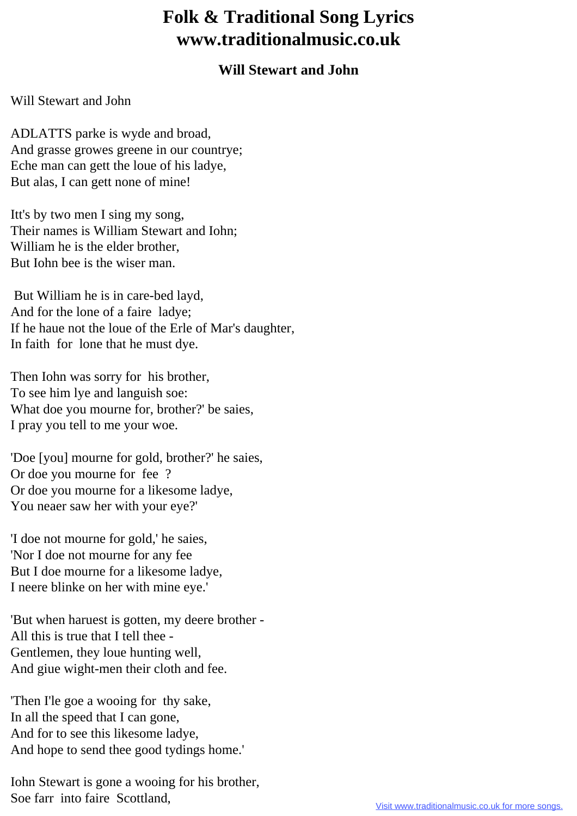## **Folk & Traditional Song Lyrics www.traditionalmusic.co.uk**

## **Will Stewart and John**

## Will Stewart and John

ADLATTS parke is wyde and broad, And grasse growes greene in our countrye; Eche man can gett the loue of his ladye, But alas, I can gett none of mine!

Itt's by two men I sing my song, Their names is William Stewart and Iohn; William he is the elder brother, But Iohn bee is the wiser man.

 But William he is in care-bed layd, And for the lone of a faire ladye; If he haue not the loue of the Erle of Mar's daughter, In faith for lone that he must dye.

Then Iohn was sorry for his brother, To see him lye and languish soe: What doe you mourne for, brother?' be saies, I pray you tell to me your woe.

'Doe [you] mourne for gold, brother?' he saies, Or doe you mourne for fee ? Or doe you mourne for a likesome ladye, You neaer saw her with your eye?'

'I doe not mourne for gold,' he saies, 'Nor I doe not mourne for any fee But I doe mourne for a likesome ladye, I neere blinke on her with mine eye.'

'But when haruest is gotten, my deere brother - All this is true that I tell thee - Gentlemen, they loue hunting well, And giue wight-men their cloth and fee.

'Then I'le goe a wooing for thy sake, In all the speed that I can gone, And for to see this likesome ladye, And hope to send thee good tydings home.'

Iohn Stewart is gone a wooing for his brother, Soe farr into faire Scottland,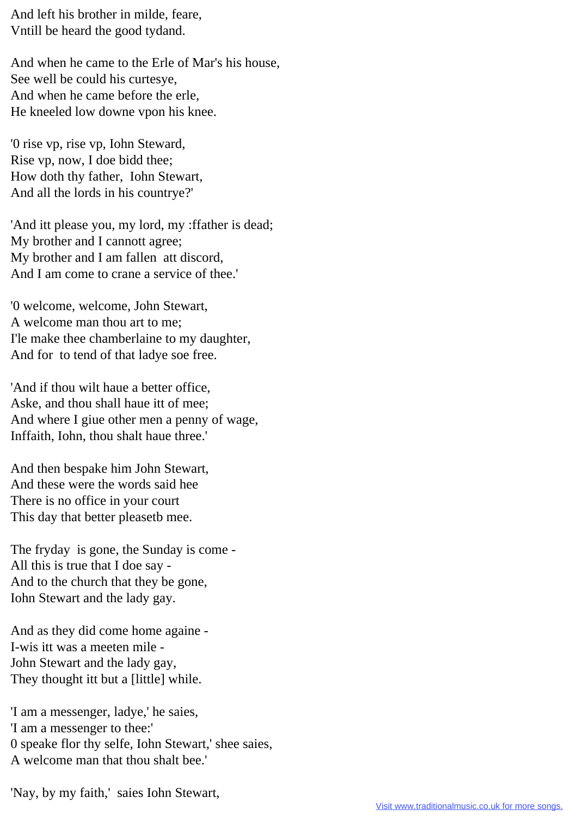And left his brother in milde, feare, Vntill be heard the good tydand.

And when he came to the Erle of Mar's his house, See well be could his curtesye, And when he came before the erle, He kneeled low downe vpon his knee.

'0 rise vp, rise vp, Iohn Steward, Rise vp, now, I doe bidd thee; How doth thy father, Iohn Stewart, And all the lords in his countrye?'

'And itt please you, my lord, my :ffather is dead; My brother and I cannott agree; My brother and I am fallen att discord, And I am come to crane a service of thee.'

'0 welcome, welcome, John Stewart, A welcome man thou art to me; I'le make thee chamberlaine to my daughter, And for to tend of that ladye soe free.

'And if thou wilt haue a better office, Aske, and thou shall haue itt of mee; And where I giue other men a penny of wage, Inffaith, Iohn, thou shalt haue three.'

And then bespake him John Stewart, And these were the words said hee There is no office in your court This day that better pleasetb mee.

The fryday is gone, the Sunday is come - All this is true that I doe say - And to the church that they be gone, Iohn Stewart and the lady gay.

And as they did come home againe - I-wis itt was a meeten mile - John Stewart and the lady gay, They thought itt but a [little] while.

'I am a messenger, ladye,' he saies, 'I am a messenger to thee:' 0 speake flor thy selfe, Iohn Stewart,' shee saies, A welcome man that thou shalt bee.'

'Nay, by my faith,' saies Iohn Stewart,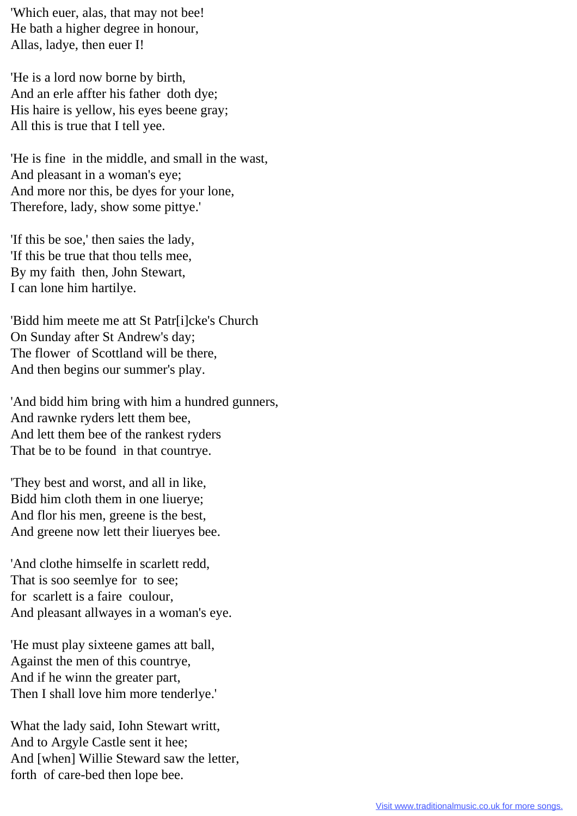'Which euer, alas, that may not bee! He bath a higher degree in honour, Allas, ladye, then euer I!

'He is a lord now borne by birth, And an erle affter his father doth dye; His haire is yellow, his eyes beene gray; All this is true that I tell yee.

'He is fine in the middle, and small in the wast, And pleasant in a woman's eye; And more nor this, be dyes for your lone, Therefore, lady, show some pittye.'

'If this be soe,' then saies the lady, 'If this be true that thou tells mee, By my faith then, John Stewart, I can lone him hartilye.

'Bidd him meete me att St Patr[i]cke's Church On Sunday after St Andrew's day; The flower of Scottland will be there, And then begins our summer's play.

'And bidd him bring with him a hundred gunners, And rawnke ryders lett them bee, And lett them bee of the rankest ryders That be to be found in that countrye.

'They best and worst, and all in like, Bidd him cloth them in one liuerye; And flor his men, greene is the best, And greene now lett their liueryes bee.

'And clothe himselfe in scarlett redd, That is soo seemlye for to see; for scarlett is a faire coulour, And pleasant allwayes in a woman's eye.

'He must play sixteene games att ball, Against the men of this countrye, And if he winn the greater part, Then I shall love him more tenderlye.'

What the lady said, Iohn Stewart writt, And to Argyle Castle sent it hee; And [when] Willie Steward saw the letter, forth of care-bed then lope bee.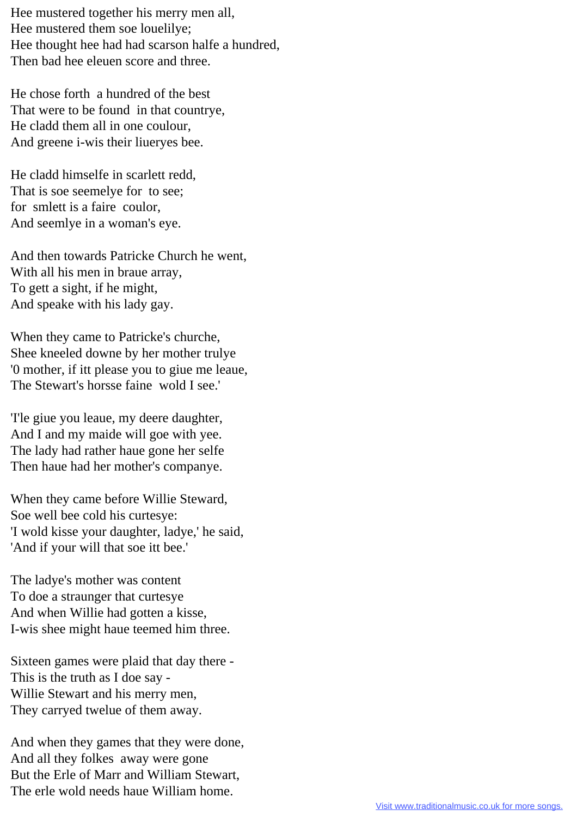Hee mustered together his merry men all, Hee mustered them soe louelilye; Hee thought hee had had scarson halfe a hundred, Then bad hee eleuen score and three.

He chose forth a hundred of the best That were to be found in that countrye, He cladd them all in one coulour, And greene i-wis their liueryes bee.

He cladd himselfe in scarlett redd, That is soe seemelye for to see; for smlett is a faire coulor, And seemlye in a woman's eye.

And then towards Patricke Church he went, With all his men in braue array, To gett a sight, if he might, And speake with his lady gay.

When they came to Patricke's churche, Shee kneeled downe by her mother trulye '0 mother, if itt please you to giue me leaue, The Stewart's horsse faine wold I see.'

'I'le giue you leaue, my deere daughter, And I and my maide will goe with yee. The lady had rather haue gone her selfe Then haue had her mother's companye.

When they came before Willie Steward, Soe well bee cold his curtesye: 'I wold kisse your daughter, ladye,' he said, 'And if your will that soe itt bee.'

The ladye's mother was content To doe a straunger that curtesye And when Willie had gotten a kisse, I-wis shee might haue teemed him three.

Sixteen games were plaid that day there - This is the truth as I doe say - Willie Stewart and his merry men, They carryed twelue of them away.

And when they games that they were done, And all they folkes away were gone But the Erle of Marr and William Stewart, The erle wold needs haue William home.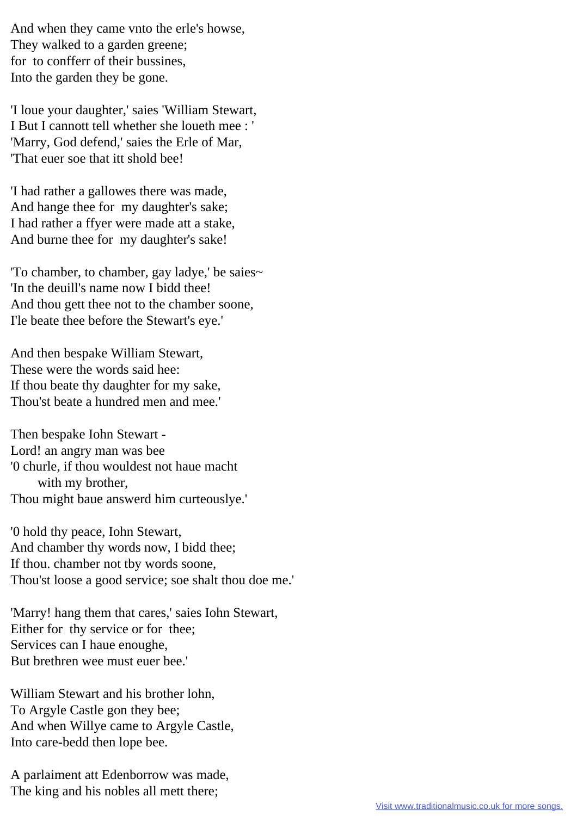And when they came vnto the erle's howse, They walked to a garden greene; for to confferr of their bussines, Into the garden they be gone.

'I loue your daughter,' saies 'William Stewart, I But I cannott tell whether she loueth mee : ' 'Marry, God defend,' saies the Erle of Mar, 'That euer soe that itt shold bee!

'I had rather a gallowes there was made, And hange thee for my daughter's sake; I had rather a ffyer were made att a stake, And burne thee for my daughter's sake!

'To chamber, to chamber, gay ladye,' be saies~ 'In the deuill's name now I bidd thee! And thou gett thee not to the chamber soone, I'le beate thee before the Stewart's eye.'

And then bespake William Stewart, These were the words said hee: If thou beate thy daughter for my sake, Thou'st beate a hundred men and mee.'

Then bespake Iohn Stewart - Lord! an angry man was bee '0 churle, if thou wouldest not haue macht with my brother, Thou might baue answerd him curteouslye.'

'0 hold thy peace, Iohn Stewart, And chamber thy words now, I bidd thee; If thou. chamber not tby words soone, Thou'st loose a good service; soe shalt thou doe me.'

'Marry! hang them that cares,' saies Iohn Stewart, Either for thy service or for thee; Services can I haue enoughe, But brethren wee must euer bee.'

William Stewart and his brother lohn, To Argyle Castle gon they bee; And when Willye came to Argyle Castle, Into care-bedd then lope bee.

A parlaiment att Edenborrow was made, The king and his nobles all mett there;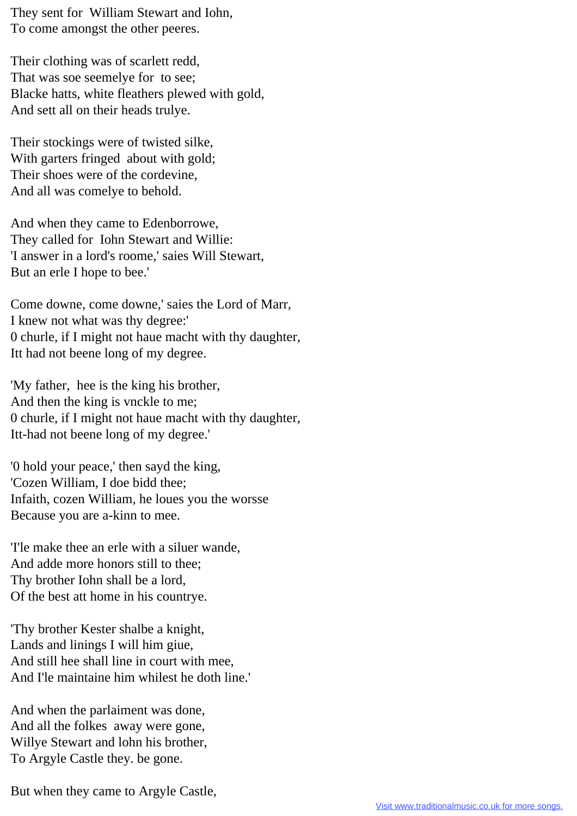They sent for William Stewart and Iohn, To come amongst the other peeres.

Their clothing was of scarlett redd, That was soe seemelye for to see; Blacke hatts, white fleathers plewed with gold, And sett all on their heads trulye.

Their stockings were of twisted silke, With garters fringed about with gold; Their shoes were of the cordevine, And all was comelye to behold.

And when they came to Edenborrowe, They called for Iohn Stewart and Willie: 'I answer in a lord's roome,' saies Will Stewart, But an erle I hope to bee.'

Come downe, come downe,' saies the Lord of Marr, I knew not what was thy degree:' 0 churle, if I might not haue macht with thy daughter, Itt had not beene long of my degree.

'My father, hee is the king his brother, And then the king is vnckle to me; 0 churle, if I might not haue macht with thy daughter, Itt-had not beene long of my degree.'

'0 hold your peace,' then sayd the king, 'Cozen William, I doe bidd thee; Infaith, cozen William, he loues you the worsse Because you are a-kinn to mee.

'I'le make thee an erle with a siluer wande, And adde more honors still to thee; Thy brother Iohn shall be a lord, Of the best att home in his countrye.

'Thy brother Kester shalbe a knight, Lands and linings I will him giue, And still hee shall line in court with mee, And I'le maintaine him whilest he doth line.'

And when the parlaiment was done, And all the folkes away were gone, Willye Stewart and lohn his brother, To Argyle Castle they. be gone.

But when they came to Argyle Castle,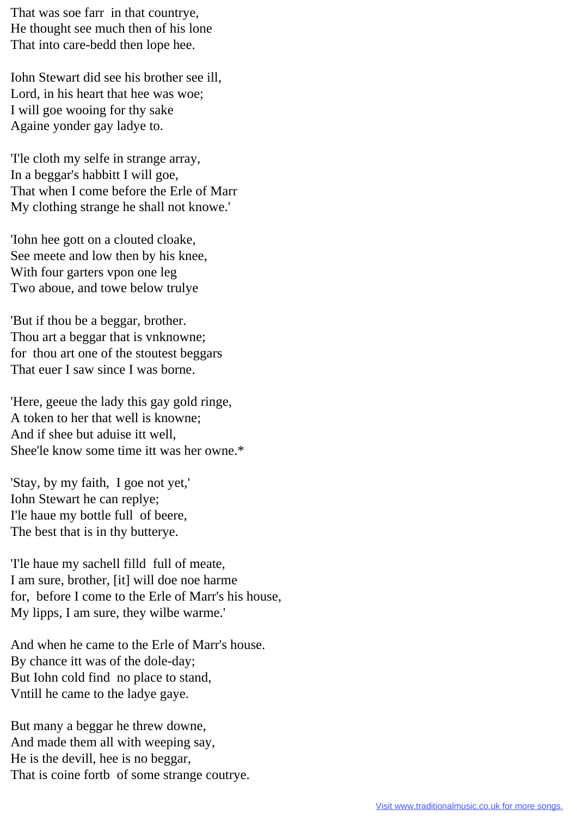That was soe farr in that countrye, He thought see much then of his lone That into care-bedd then lope hee.

Iohn Stewart did see his brother see ill, Lord, in his heart that hee was woe; I will goe wooing for thy sake Againe yonder gay ladye to.

'I'le cloth my selfe in strange array, In a beggar's habbitt I will goe, That when I come before the Erle of Marr My clothing strange he shall not knowe.'

'Iohn hee gott on a clouted cloake, See meete and low then by his knee, With four garters vpon one leg Two aboue, and towe below trulye

'But if thou be a beggar, brother. Thou art a beggar that is vnknowne; for thou art one of the stoutest beggars That euer I saw since I was borne.

'Here, geeue the lady this gay gold ringe, A token to her that well is knowne; And if shee but aduise itt well, Shee'le know some time itt was her owne.\*

'Stay, by my faith, I goe not yet,' Iohn Stewart he can replye; I'le haue my bottle full of beere, The best that is in thy butterye.

'I'le haue my sachell filld full of meate, I am sure, brother, [it] will doe noe harme for, before I come to the Erle of Marr's his house, My lipps, I am sure, they wilbe warme.'

And when he came to the Erle of Marr's house. By chance itt was of the dole-day; But Iohn cold find no place to stand, Vntill he came to the ladye gaye.

But many a beggar he threw downe, And made them all with weeping say, He is the devill, hee is no beggar, That is coine fortb of some strange coutrye.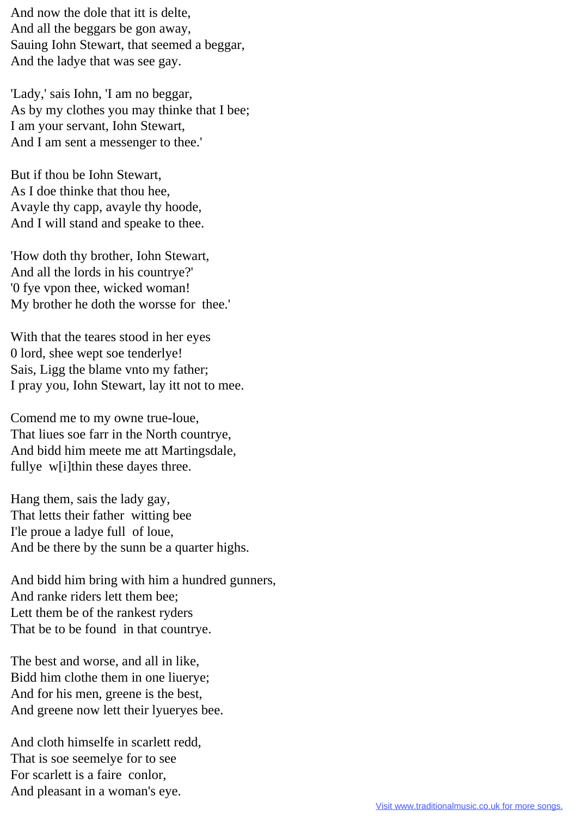And now the dole that itt is delte, And all the beggars be gon away, Sauing Iohn Stewart, that seemed a beggar, And the ladye that was see gay.

'Lady,' sais Iohn, 'I am no beggar, As by my clothes you may thinke that I bee; I am your servant, Iohn Stewart, And I am sent a messenger to thee.'

But if thou be Iohn Stewart, As I doe thinke that thou hee, Avayle thy capp, avayle thy hoode, And I will stand and speake to thee.

'How doth thy brother, Iohn Stewart, And all the lords in his countrye?' '0 fye vpon thee, wicked woman! My brother he doth the worsse for thee.'

With that the teares stood in her eyes 0 lord, shee wept soe tenderlye! Sais, Ligg the blame vnto my father; I pray you, Iohn Stewart, lay itt not to mee.

Comend me to my owne true-loue, That liues soe farr in the North countrye, And bidd him meete me att Martingsdale, fullye w[i]thin these dayes three.

Hang them, sais the lady gay, That letts their father witting bee I'le proue a ladye full of loue, And be there by the sunn be a quarter highs.

And bidd him bring with him a hundred gunners, And ranke riders lett them bee; Lett them be of the rankest ryders That be to be found in that countrye.

The best and worse, and all in like, Bidd him clothe them in one liuerye; And for his men, greene is the best, And greene now lett their lyueryes bee.

And cloth himselfe in scarlett redd, That is soe seemelye for to see For scarlett is a faire conlor, And pleasant in a woman's eye.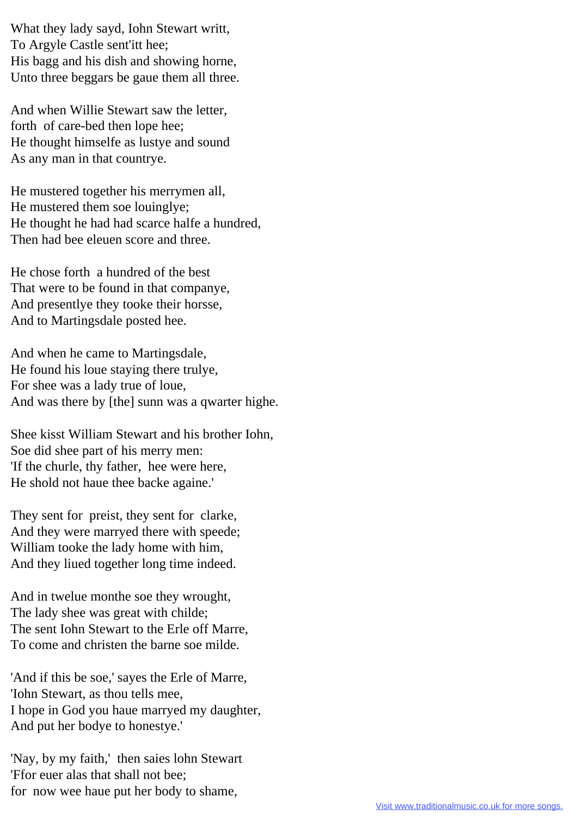What they lady sayd, Iohn Stewart writt, To Argyle Castle sent'itt hee; His bagg and his dish and showing horne, Unto three beggars be gaue them all three.

And when Willie Stewart saw the letter, forth of care-bed then lope hee; He thought himselfe as lustye and sound As any man in that countrye.

He mustered together his merrymen all, He mustered them soe louinglye; He thought he had had scarce halfe a hundred, Then had bee eleuen score and three.

He chose forth a hundred of the best That were to be found in that companye, And presentlye they tooke their horsse, And to Martingsdale posted hee.

And when he came to Martingsdale, He found his loue staying there trulye, For shee was a lady true of loue, And was there by [the] sunn was a qwarter highe.

Shee kisst William Stewart and his brother Iohn, Soe did shee part of his merry men: 'If the churle, thy father, hee were here, He shold not haue thee backe againe.'

They sent for preist, they sent for clarke, And they were marryed there with speede; William tooke the lady home with him, And they liued together long time indeed.

And in twelue monthe soe they wrought, The lady shee was great with childe; The sent Iohn Stewart to the Erle off Marre, To come and christen the barne soe milde.

'And if this be soe,' sayes the Erle of Marre, 'Iohn Stewart, as thou tells mee, I hope in God you haue marryed my daughter, And put her bodye to honestye.'

'Nay, by my faith,' then saies lohn Stewart 'Ffor euer alas that shall not bee; for now wee haue put her body to shame,